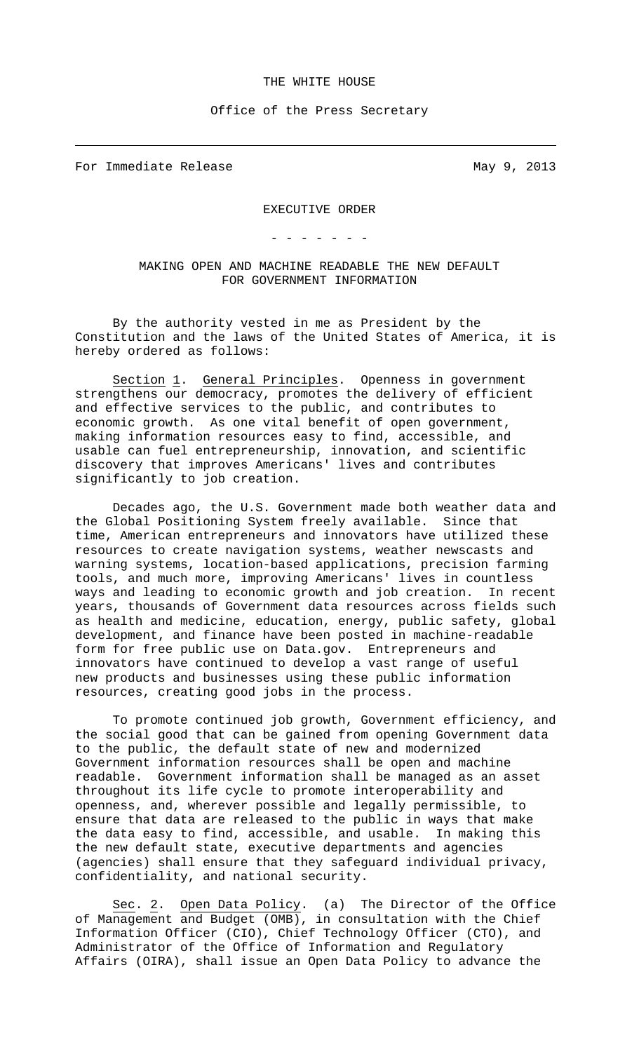## THE WHITE HOUSE

Office of the Press Secretary

For Immediate Release May 9, 2013

 $\overline{\phantom{0}}$ 

EXECUTIVE ORDER

- - - - - - -

MAKING OPEN AND MACHINE READABLE THE NEW DEFAULT FOR GOVERNMENT INFORMATION

By the authority vested in me as President by the Constitution and the laws of the United States of America, it is hereby ordered as follows:

Section 1. General Principles. Openness in government strengthens our democracy, promotes the delivery of efficient and effective services to the public, and contributes to economic growth. As one vital benefit of open government, making information resources easy to find, accessible, and usable can fuel entrepreneurship, innovation, and scientific discovery that improves Americans' lives and contributes significantly to job creation.

Decades ago, the U.S. Government made both weather data and the Global Positioning System freely available. Since that time, American entrepreneurs and innovators have utilized these resources to create navigation systems, weather newscasts and warning systems, location-based applications, precision farming tools, and much more, improving Americans' lives in countless ways and leading to economic growth and job creation. In recent years, thousands of Government data resources across fields such as health and medicine, education, energy, public safety, global development, and finance have been posted in machine-readable form for free public use on Data.gov. Entrepreneurs and innovators have continued to develop a vast range of useful new products and businesses using these public information resources, creating good jobs in the process.

To promote continued job growth, Government efficiency, and the social good that can be gained from opening Government data to the public, the default state of new and modernized Government information resources shall be open and machine readable. Government information shall be managed as an asset throughout its life cycle to promote interoperability and openness, and, wherever possible and legally permissible, to ensure that data are released to the public in ways that make the data easy to find, accessible, and usable. In making this the new default state, executive departments and agencies (agencies) shall ensure that they safeguard individual privacy, confidentiality, and national security.

Sec. 2. Open Data Policy. (a) The Director of the Office of Management and Budget (OMB), in consultation with the Chief Information Officer (CIO), Chief Technology Officer (CTO), and Administrator of the Office of Information and Regulatory Affairs (OIRA), shall issue an Open Data Policy to advance the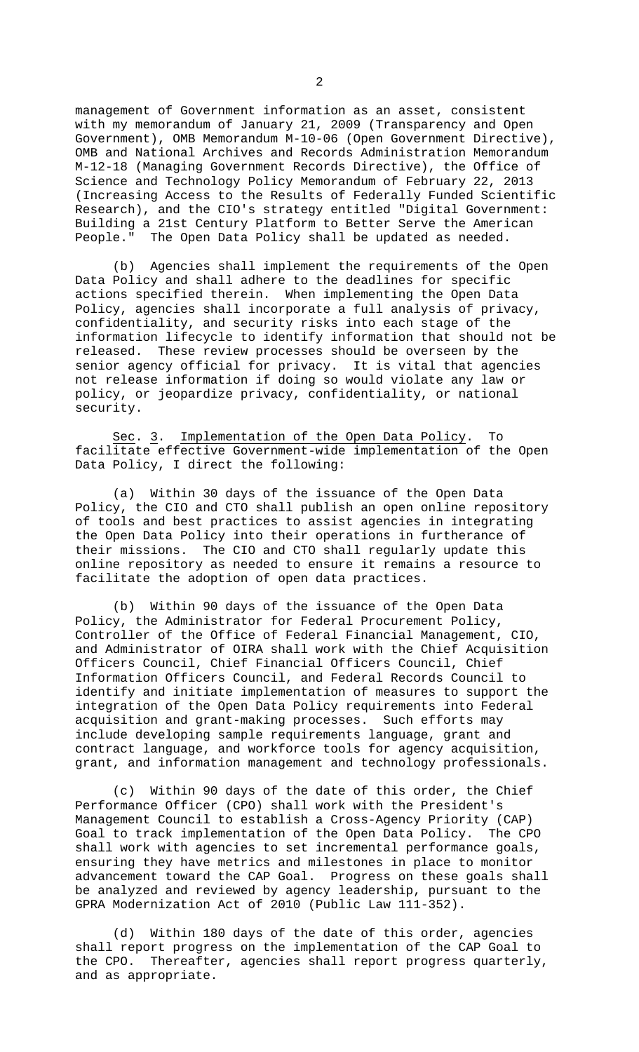management of Government information as an asset, consistent with my memorandum of January 21, 2009 (Transparency and Open Government), OMB Memorandum M-10-06 (Open Government Directive), OMB and National Archives and Records Administration Memorandum M-12-18 (Managing Government Records Directive), the Office of Science and Technology Policy Memorandum of February 22, 2013 (Increasing Access to the Results of Federally Funded Scientific Research), and the CIO's strategy entitled "Digital Government: Building a 21st Century Platform to Better Serve the American<br>People." The Open Data Policy shall be updated as needed. The Open Data Policy shall be updated as needed.

(b) Agencies shall implement the requirements of the Open Data Policy and shall adhere to the deadlines for specific actions specified therein. When implementing the Open Data Policy, agencies shall incorporate a full analysis of privacy, confidentiality, and security risks into each stage of the information lifecycle to identify information that should not be released. These review processes should be overseen by the senior agency official for privacy. It is vital that agencies not release information if doing so would violate any law or policy, or jeopardize privacy, confidentiality, or national security.

Sec. 3. Implementation of the Open Data Policy. To facilitate effective Government-wide implementation of the Open Data Policy, I direct the following:

(a) Within 30 days of the issuance of the Open Data Policy, the CIO and CTO shall publish an open online repository of tools and best practices to assist agencies in integrating the Open Data Policy into their operations in furtherance of their missions. The CIO and CTO shall regularly update this online repository as needed to ensure it remains a resource to facilitate the adoption of open data practices.

(b) Within 90 days of the issuance of the Open Data Policy, the Administrator for Federal Procurement Policy, Controller of the Office of Federal Financial Management, CIO, and Administrator of OIRA shall work with the Chief Acquisition Officers Council, Chief Financial Officers Council, Chief Information Officers Council, and Federal Records Council to identify and initiate implementation of measures to support the integration of the Open Data Policy requirements into Federal acquisition and grant-making processes. Such efforts may include developing sample requirements language, grant and contract language, and workforce tools for agency acquisition, grant, and information management and technology professionals.

(c) Within 90 days of the date of this order, the Chief Performance Officer (CPO) shall work with the President's Management Council to establish a Cross-Agency Priority (CAP) Goal to track implementation of the Open Data Policy. The CPO shall work with agencies to set incremental performance goals, ensuring they have metrics and milestones in place to monitor advancement toward the CAP Goal. Progress on these goals shall be analyzed and reviewed by agency leadership, pursuant to the GPRA Modernization Act of 2010 (Public Law 111-352).

(d) Within 180 days of the date of this order, agencies shall report progress on the implementation of the CAP Goal to the CPO. Thereafter, agencies shall report progress quarterly, and as appropriate.